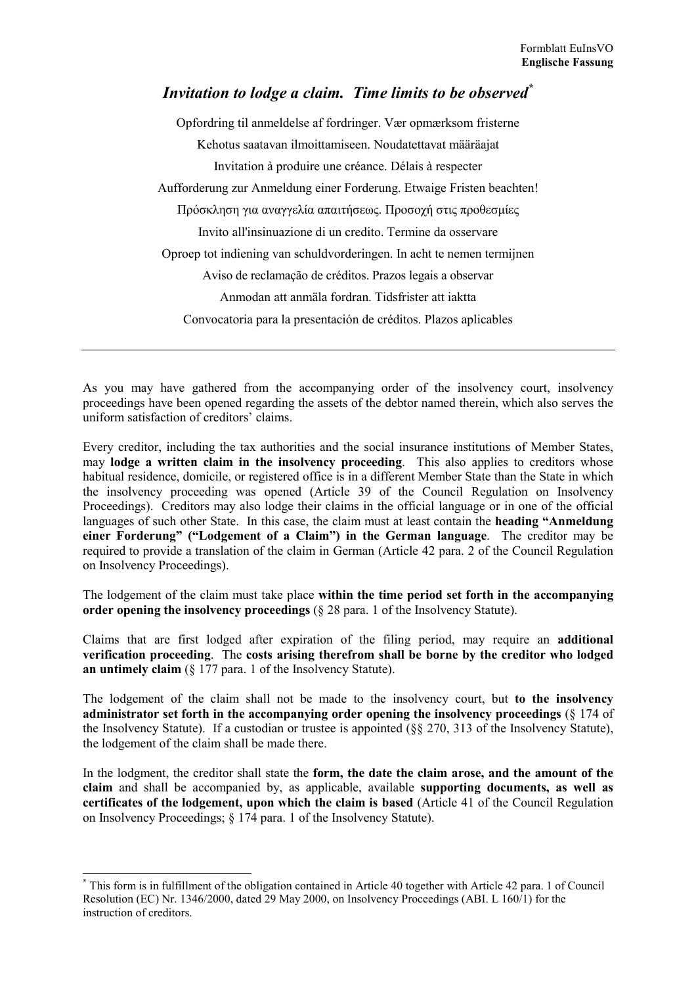## Invitation to lodge a claim. Time limits to be observed<sup>\*</sup>

Opfordring til anmeldelse af fordringer. Vær opmærksom fristerne Kehotus saatavan ilmoittamiseen. Noudatettavat määräajat Invitation à produire une créance. Délais à respecter Aufforderung zur Anmeldung einer Forderung. Etwaige Fristen beachten! Πρόσκληση για αναγγελία απαιτήσεως. Προσοχή στις προθεσμίες Invito all'insinuazione di un credito. Termine da osservare Oproep tot indiening van schuldvorderingen. In acht te nemen termijnen Aviso de reclamação de créditos. Prazos legais a observar Anmodan att anmäla fordran. Tidsfrister att iaktta Convocatoria para la presentación de créditos. Plazos aplicables

As you may have gathered from the accompanying order of the insolvency court, insolvency proceedings have been opened regarding the assets of the debtor named therein, which also serves the uniform satisfaction of creditors' claims

Every creditor, including the tax authorities and the social insurance institutions of Member States, may lodge a written claim in the insolvency proceeding. This also applies to creditors whose habitual residence, domicile, or registered office is in a different Member State than the State in which the insolvency proceeding was opened (Article 39 of the Council Regulation on Insolvency Proceedings). Creditors may also lodge their claims in the official language or in one of the official languages of such other State. In this case, the claim must at least contain the heading "Anmeldung" einer Forderung" ("Lodgement of a Claim") in the German language. The creditor may be required to provide a translation of the claim in German (Article 42 para, 2 of the Council Regulation on Insolvency Proceedings).

The lodgement of the claim must take place within the time period set forth in the accompanying order opening the insolvency proceedings  $(\S 28)$  para. 1 of the Insolvency Statute).

Claims that are first lodged after expiration of the filing period, may require an additional verification proceeding. The costs arising therefrom shall be borne by the creditor who lodged an untimely claim  $(\S 177)$  para. 1 of the Insolvency Statute).

The lodgement of the claim shall not be made to the insolvency court, but to the insolvency administrator set forth in the accompanying order opening the insolvency proceedings  $(8\ 174\$ the Insolvency Statute). If a custodian or trustee is appointed  $(88 270, 313)$  of the Insolvency Statute), the lodgement of the claim shall be made there.

In the lodgment, the creditor shall state the form, the date the claim arose, and the amount of the claim and shall be accompanied by, as applicable, available supporting documents, as well as certificates of the lodgement, upon which the claim is based (Article 41 of the Council Regulation on Insolvency Proceedings; § 174 para. 1 of the Insolvency Statute).

<sup>\*</sup> This form is in fulfillment of the obligation contained in Article 40 together with Article 42 para. 1 of Council Resolution (EC) Nr. 1346/2000, dated 29 May 2000, on Insolvency Proceedings (ABI. L 160/1) for the instruction of creditors.